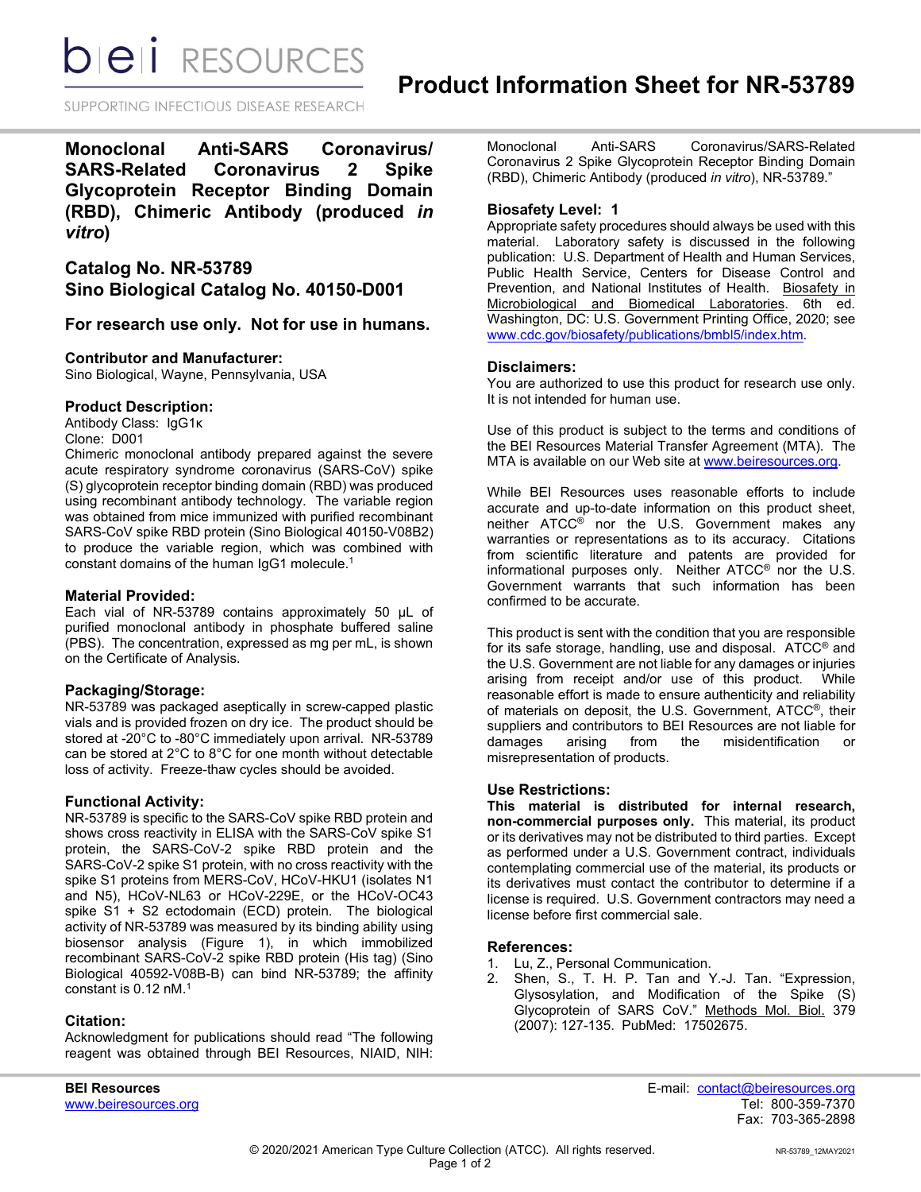*DIEI RESOURCES* 

SUPPORTING INFECTIOUS DISEASE RESEARCH

**Monoclonal Anti-SARS Coronavirus/ SARS-Related Coronavirus 2 Spike Glycoprotein Receptor Binding Domain (RBD), Chimeric Antibody (produced** *in vitro***)** 

# **Catalog No. NR-53789 Sino Biological Catalog No. 40150-D001**

## **For research use only. Not for use in humans.**

#### **Contributor and Manufacturer:**

Sino Biological, Wayne, Pennsylvania, USA

## **Product Description:**

Antibody Class: IgG1κ Clone: D001

Chimeric monoclonal antibody prepared against the severe acute respiratory syndrome coronavirus (SARS-CoV) spike (S) glycoprotein receptor binding domain (RBD) was produced using recombinant antibody technology. The variable region was obtained from mice immunized with purified recombinant SARS-CoV spike RBD protein (Sino Biological 40150-V08B2) to produce the variable region, which was combined with constant domains of the human IgG1 molecule. $^{\rm 1}$ 

#### **Material Provided:**

Each vial of NR-53789 contains approximately 50 µL of purified monoclonal antibody in phosphate buffered saline (PBS). The concentration, expressed as mg per mL, is shown on the Certificate of Analysis.

#### **Packaging/Storage:**

NR-53789 was packaged aseptically in screw-capped plastic vials and is provided frozen on dry ice. The product should be stored at -20°C to -80°C immediately upon arrival. NR-53789 can be stored at 2°C to 8°C for one month without detectable loss of activity. Freeze-thaw cycles should be avoided.

## **Functional Activity:**

NR-53789 is specific to the SARS-CoV spike RBD protein and shows cross reactivity in ELISA with the SARS-CoV spike S1 protein, the SARS-CoV-2 spike RBD protein and the SARS-CoV-2 spike S1 protein, with no cross reactivity with the spike S1 proteins from MERS-CoV, HCoV-HKU1 (isolates N1 and N5), HCoV-NL63 or HCoV-229E, or the HCoV-OC43 spike S1 + S2 ectodomain (ECD) protein. The biological activity of NR-53789 was measured by its binding ability using biosensor analysis (Figure 1), in which immobilized recombinant SARS-CoV-2 spike RBD protein (His tag) (Sino Biological 40592-V08B-B) can bind NR-53789; the affinity constant is 0.12 nM.1

## **Citation:**

Acknowledgment for publications should read "The following reagent was obtained through BEI Resources, NIAID, NIH: Monoclonal Anti-SARS Coronavirus/SARS-Related Coronavirus 2 Spike Glycoprotein Receptor Binding Domain (RBD), Chimeric Antibody (produced *in vitro*), NR-53789."

#### **Biosafety Level: 1**

Appropriate safety procedures should always be used with this material. Laboratory safety is discussed in the following publication: U.S. Department of Health and Human Services, Public Health Service, Centers for Disease Control and Prevention, and National Institutes of Health. Biosafety in Microbiological and Biomedical Laboratories. 6th ed. Washington, DC: U.S. Government Printing Office, 2020; see [www.cdc.gov/biosafety/publications/bmbl5/index.htm.](http://www.cdc.gov/biosafety/publications/bmbl5/index.htm)

#### **Disclaimers:**

You are authorized to use this product for research use only. It is not intended for human use.

Use of this product is subject to the terms and conditions of the BEI Resources Material Transfer Agreement (MTA). The MTA is available on our Web site at [www.beiresources.org.](http://www.beiresources.org/)

While BEI Resources uses reasonable efforts to include accurate and up-to-date information on this product sheet, neither ATCC<sup>®</sup> nor the U.S. Government makes any warranties or representations as to its accuracy. Citations from scientific literature and patents are provided for informational purposes only. Neither ATCC® nor the U.S. Government warrants that such information has been confirmed to be accurate.

This product is sent with the condition that you are responsible for its safe storage, handling, use and disposal. ATCC® and the U.S. Government are not liable for any damages or injuries arising from receipt and/or use of this product. While reasonable effort is made to ensure authenticity and reliability of materials on deposit, the U.S. Government, ATCC®, their suppliers and contributors to BEI Resources are not liable for damages arising from the misidentification or misrepresentation of products.

## **Use Restrictions:**

**This material is distributed for internal research, non-commercial purposes only.** This material, its product or its derivatives may not be distributed to third parties. Except as performed under a U.S. Government contract, individuals contemplating commercial use of the material, its products or its derivatives must contact the contributor to determine if a license is required. U.S. Government contractors may need a license before first commercial sale.

#### **References:**

- 1. Lu, Z., Personal Communication.<br>2. Shen. S., T. H. P. Tan and Y
- Shen, S., T. H. P. Tan and Y.-J. Tan. "Expression, Glysosylation, and Modification of the Spike (S) Glycoprotein of SARS CoV." Methods Mol. Biol. 379 (2007): 127-135. PubMed: 17502675.

**BEI Resources** E-mail: contact@beiresources.org Fax: 703-365-2898